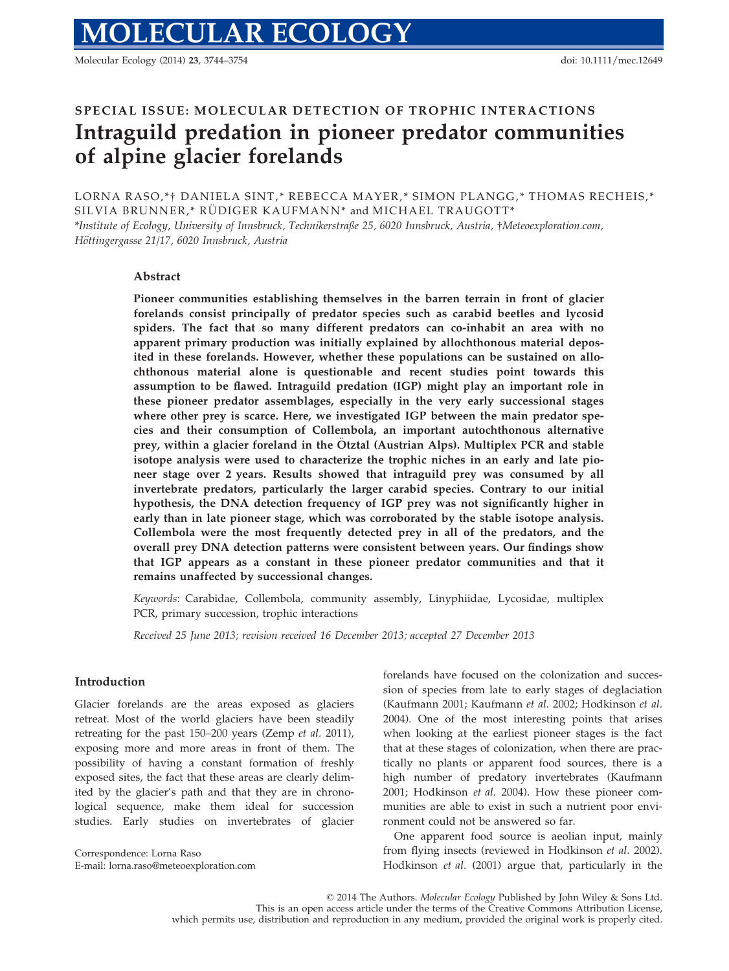Molecular Ecology (2014) 23, 3744–3754 doi: 10.1111/mec.12649

# SPECIAL ISSUE: MOLECULAR DETECTION OF TROPHIC INTERACTIONS Intraguild predation in pioneer predator communities of alpine glacier forelands

LORNA RASO,\*† DANIELA SINT,\* REBECCA MAYER,\* SIMON PLANGG,\* THOMAS RECHEIS,\* SILVIA BRUNNER,\* RÜDIGER KAUFMANN\* and MICHAEL TRAUGOTT\* \*Institute of Ecology, University of Innsbruck, Technikerstraße 25, 6020 Innsbruck, Austria, †Meteoexploration.com, Höttingergasse 21/17, 6020 Innsbruck, Austria

# Abstract

Pioneer communities establishing themselves in the barren terrain in front of glacier forelands consist principally of predator species such as carabid beetles and lycosid spiders. The fact that so many different predators can co-inhabit an area with no apparent primary production was initially explained by allochthonous material deposited in these forelands. However, whether these populations can be sustained on allochthonous material alone is questionable and recent studies point towards this assumption to be flawed. Intraguild predation (IGP) might play an important role in these pioneer predator assemblages, especially in the very early successional stages where other prey is scarce. Here, we investigated IGP between the main predator species and their consumption of Collembola, an important autochthonous alternative prey, within a glacier foreland in the Otztal (Austrian Alps). Multiplex PCR and stable isotope analysis were used to characterize the trophic niches in an early and late pioneer stage over 2 years. Results showed that intraguild prey was consumed by all invertebrate predators, particularly the larger carabid species. Contrary to our initial hypothesis, the DNA detection frequency of IGP prey was not significantly higher in early than in late pioneer stage, which was corroborated by the stable isotope analysis. Collembola were the most frequently detected prey in all of the predators, and the overall prey DNA detection patterns were consistent between years. Our findings show that IGP appears as a constant in these pioneer predator communities and that it remains unaffected by successional changes.

Keywords: Carabidae, Collembola, community assembly, Linyphiidae, Lycosidae, multiplex PCR, primary succession, trophic interactions

Received 25 June 2013; revision received 16 December 2013; accepted 27 December 2013

## Introduction

Glacier forelands are the areas exposed as glaciers retreat. Most of the world glaciers have been steadily retreating for the past 150–200 years (Zemp et al. 2011), exposing more and more areas in front of them. The possibility of having a constant formation of freshly exposed sites, the fact that these areas are clearly delimited by the glacier's path and that they are in chronological sequence, make them ideal for succession studies. Early studies on invertebrates of glacier

Correspondence: Lorna Raso E-mail: lorna.raso@meteoexploration.com

forelands have focused on the colonization and succession of species from late to early stages of deglaciation (Kaufmann 2001; Kaufmann et al. 2002; Hodkinson et al. 2004). One of the most interesting points that arises when looking at the earliest pioneer stages is the fact that at these stages of colonization, when there are practically no plants or apparent food sources, there is a high number of predatory invertebrates (Kaufmann 2001; Hodkinson et al. 2004). How these pioneer communities are able to exist in such a nutrient poor environment could not be answered so far.

One apparent food source is aeolian input, mainly from flying insects (reviewed in Hodkinson et al. 2002). Hodkinson et al. (2001) argue that, particularly in the

© 2014 The Authors. Molecular Ecology Published by John Wiley & Sons Ltd. This is an open access article under the terms of the Creative Commons Attribution License, which permits use, distribution and reproduction in any medium, provided the original work is properly cited.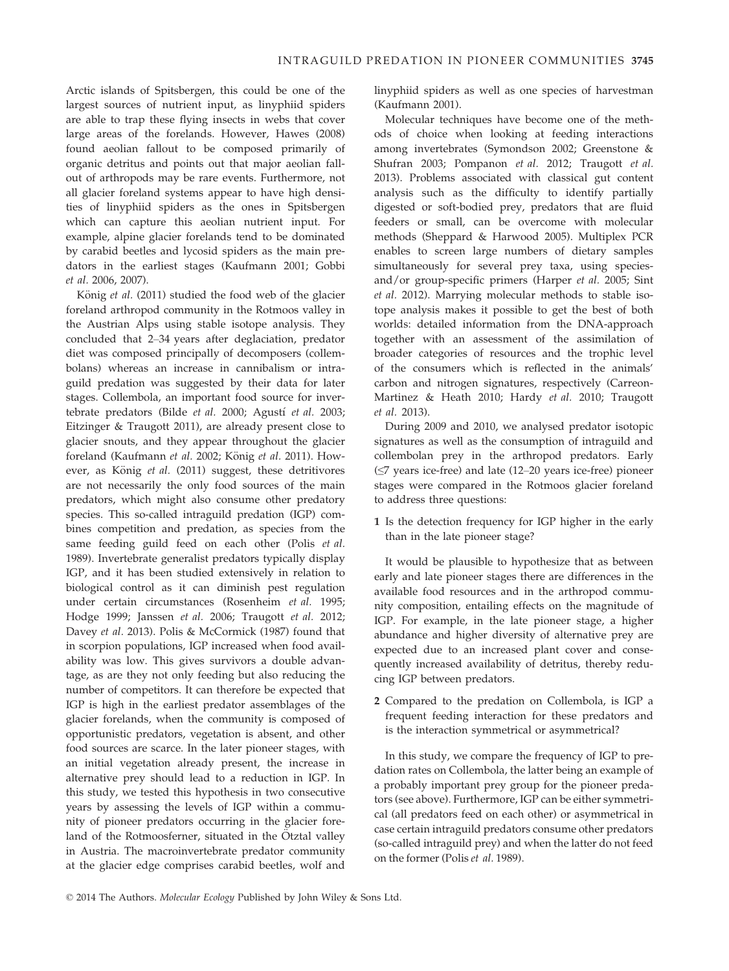Arctic islands of Spitsbergen, this could be one of the largest sources of nutrient input, as linyphiid spiders are able to trap these flying insects in webs that cover large areas of the forelands. However, Hawes (2008) found aeolian fallout to be composed primarily of organic detritus and points out that major aeolian fallout of arthropods may be rare events. Furthermore, not all glacier foreland systems appear to have high densities of linyphiid spiders as the ones in Spitsbergen which can capture this aeolian nutrient input. For example, alpine glacier forelands tend to be dominated by carabid beetles and lycosid spiders as the main predators in the earliest stages (Kaufmann 2001; Gobbi et al. 2006, 2007).

König et al. (2011) studied the food web of the glacier foreland arthropod community in the Rotmoos valley in the Austrian Alps using stable isotope analysis. They concluded that 2–34 years after deglaciation, predator diet was composed principally of decomposers (collembolans) whereas an increase in cannibalism or intraguild predation was suggested by their data for later stages. Collembola, an important food source for invertebrate predators (Bilde et al. 2000; Agustí et al. 2003; Eitzinger & Traugott 2011), are already present close to glacier snouts, and they appear throughout the glacier foreland (Kaufmann et al. 2002; König et al. 2011). However, as König et al. (2011) suggest, these detritivores are not necessarily the only food sources of the main predators, which might also consume other predatory species. This so-called intraguild predation (IGP) combines competition and predation, as species from the same feeding guild feed on each other (Polis et al. 1989). Invertebrate generalist predators typically display IGP, and it has been studied extensively in relation to biological control as it can diminish pest regulation under certain circumstances (Rosenheim et al. 1995; Hodge 1999; Janssen et al. 2006; Traugott et al. 2012; Davey et al. 2013). Polis & McCormick (1987) found that in scorpion populations, IGP increased when food availability was low. This gives survivors a double advantage, as are they not only feeding but also reducing the number of competitors. It can therefore be expected that IGP is high in the earliest predator assemblages of the glacier forelands, when the community is composed of opportunistic predators, vegetation is absent, and other food sources are scarce. In the later pioneer stages, with an initial vegetation already present, the increase in alternative prey should lead to a reduction in IGP. In this study, we tested this hypothesis in two consecutive years by assessing the levels of IGP within a community of pioneer predators occurring in the glacier foreland of the Rotmoosferner, situated in the Ötztal valley in Austria. The macroinvertebrate predator community at the glacier edge comprises carabid beetles, wolf and

linyphiid spiders as well as one species of harvestman (Kaufmann 2001).

Molecular techniques have become one of the methods of choice when looking at feeding interactions among invertebrates (Symondson 2002; Greenstone & Shufran 2003; Pompanon et al. 2012; Traugott et al. 2013). Problems associated with classical gut content analysis such as the difficulty to identify partially digested or soft-bodied prey, predators that are fluid feeders or small, can be overcome with molecular methods (Sheppard & Harwood 2005). Multiplex PCR enables to screen large numbers of dietary samples simultaneously for several prey taxa, using speciesand/or group-specific primers (Harper et al. 2005; Sint et al. 2012). Marrying molecular methods to stable isotope analysis makes it possible to get the best of both worlds: detailed information from the DNA-approach together with an assessment of the assimilation of broader categories of resources and the trophic level of the consumers which is reflected in the animals' carbon and nitrogen signatures, respectively (Carreon-Martinez & Heath 2010; Hardy et al. 2010; Traugott et al. 2013).

During 2009 and 2010, we analysed predator isotopic signatures as well as the consumption of intraguild and collembolan prey in the arthropod predators. Early (≤7 years ice-free) and late (12–20 years ice-free) pioneer stages were compared in the Rotmoos glacier foreland to address three questions:

1 Is the detection frequency for IGP higher in the early than in the late pioneer stage?

It would be plausible to hypothesize that as between early and late pioneer stages there are differences in the available food resources and in the arthropod community composition, entailing effects on the magnitude of IGP. For example, in the late pioneer stage, a higher abundance and higher diversity of alternative prey are expected due to an increased plant cover and consequently increased availability of detritus, thereby reducing IGP between predators.

2 Compared to the predation on Collembola, is IGP a frequent feeding interaction for these predators and is the interaction symmetrical or asymmetrical?

In this study, we compare the frequency of IGP to predation rates on Collembola, the latter being an example of a probably important prey group for the pioneer predators (see above). Furthermore, IGP can be either symmetrical (all predators feed on each other) or asymmetrical in case certain intraguild predators consume other predators (so-called intraguild prey) and when the latter do not feed on the former (Polis et al. 1989).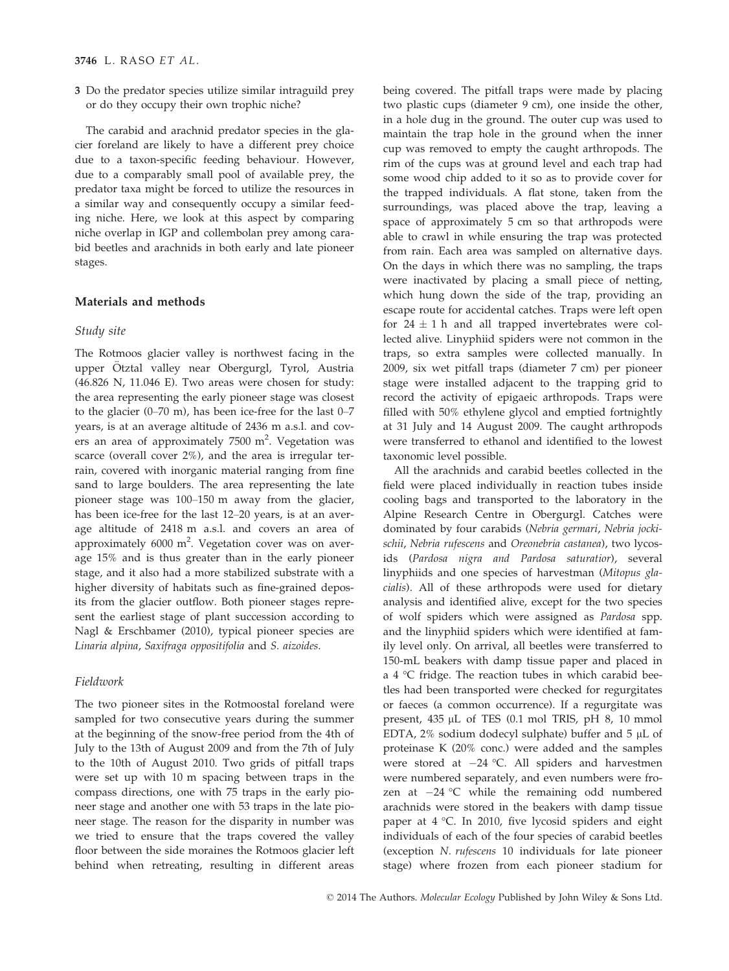3 Do the predator species utilize similar intraguild prey or do they occupy their own trophic niche?

The carabid and arachnid predator species in the glacier foreland are likely to have a different prey choice due to a taxon-specific feeding behaviour. However, due to a comparably small pool of available prey, the predator taxa might be forced to utilize the resources in a similar way and consequently occupy a similar feeding niche. Here, we look at this aspect by comparing niche overlap in IGP and collembolan prey among carabid beetles and arachnids in both early and late pioneer stages.

# Materials and methods

#### Study site

The Rotmoos glacier valley is northwest facing in the upper Ötztal valley near Obergurgl, Tyrol, Austria (46.826 N, 11.046 E). Two areas were chosen for study: the area representing the early pioneer stage was closest to the glacier (0–70 m), has been ice-free for the last 0–7 years, is at an average altitude of 2436 m a.s.l. and covers an area of approximately  $7500 \text{ m}^2$ . Vegetation was scarce (overall cover 2%), and the area is irregular terrain, covered with inorganic material ranging from fine sand to large boulders. The area representing the late pioneer stage was 100–150 m away from the glacier, has been ice-free for the last 12–20 years, is at an average altitude of 2418 m a.s.l. and covers an area of approximately  $6000 \text{ m}^2$ . Vegetation cover was on average 15% and is thus greater than in the early pioneer stage, and it also had a more stabilized substrate with a higher diversity of habitats such as fine-grained deposits from the glacier outflow. Both pioneer stages represent the earliest stage of plant succession according to Nagl & Erschbamer (2010), typical pioneer species are Linaria alpina, Saxifraga oppositifolia and S. aizoides.

#### Fieldwork

The two pioneer sites in the Rotmoostal foreland were sampled for two consecutive years during the summer at the beginning of the snow-free period from the 4th of July to the 13th of August 2009 and from the 7th of July to the 10th of August 2010. Two grids of pitfall traps were set up with 10 m spacing between traps in the compass directions, one with 75 traps in the early pioneer stage and another one with 53 traps in the late pioneer stage. The reason for the disparity in number was we tried to ensure that the traps covered the valley floor between the side moraines the Rotmoos glacier left behind when retreating, resulting in different areas

being covered. The pitfall traps were made by placing two plastic cups (diameter 9 cm), one inside the other, in a hole dug in the ground. The outer cup was used to maintain the trap hole in the ground when the inner cup was removed to empty the caught arthropods. The rim of the cups was at ground level and each trap had some wood chip added to it so as to provide cover for the trapped individuals. A flat stone, taken from the surroundings, was placed above the trap, leaving a space of approximately 5 cm so that arthropods were able to crawl in while ensuring the trap was protected from rain. Each area was sampled on alternative days. On the days in which there was no sampling, the traps were inactivated by placing a small piece of netting, which hung down the side of the trap, providing an escape route for accidental catches. Traps were left open for  $24 \pm 1$  h and all trapped invertebrates were collected alive. Linyphiid spiders were not common in the traps, so extra samples were collected manually. In 2009, six wet pitfall traps (diameter 7 cm) per pioneer stage were installed adjacent to the trapping grid to record the activity of epigaeic arthropods. Traps were filled with 50% ethylene glycol and emptied fortnightly at 31 July and 14 August 2009. The caught arthropods were transferred to ethanol and identified to the lowest taxonomic level possible.

All the arachnids and carabid beetles collected in the field were placed individually in reaction tubes inside cooling bags and transported to the laboratory in the Alpine Research Centre in Obergurgl. Catches were dominated by four carabids (Nebria germari, Nebria jockischii, Nebria rufescens and Oreonebria castanea), two lycosids (Pardosa nigra and Pardosa saturatior), several linyphiids and one species of harvestman (Mitopus glacialis). All of these arthropods were used for dietary analysis and identified alive, except for the two species of wolf spiders which were assigned as Pardosa spp. and the linyphiid spiders which were identified at family level only. On arrival, all beetles were transferred to 150-mL beakers with damp tissue paper and placed in a 4 °C fridge. The reaction tubes in which carabid beetles had been transported were checked for regurgitates or faeces (a common occurrence). If a regurgitate was present,  $435 \mu L$  of TES (0.1 mol TRIS, pH 8, 10 mmol EDTA, 2% sodium dodecyl sulphate) buffer and  $5 \mu L$  of proteinase K (20% conc.) were added and the samples were stored at  $-24$  °C. All spiders and harvestmen were numbered separately, and even numbers were frozen at  $-24$  °C while the remaining odd numbered arachnids were stored in the beakers with damp tissue paper at 4 °C. In 2010, five lycosid spiders and eight individuals of each of the four species of carabid beetles (exception N. rufescens 10 individuals for late pioneer stage) where frozen from each pioneer stadium for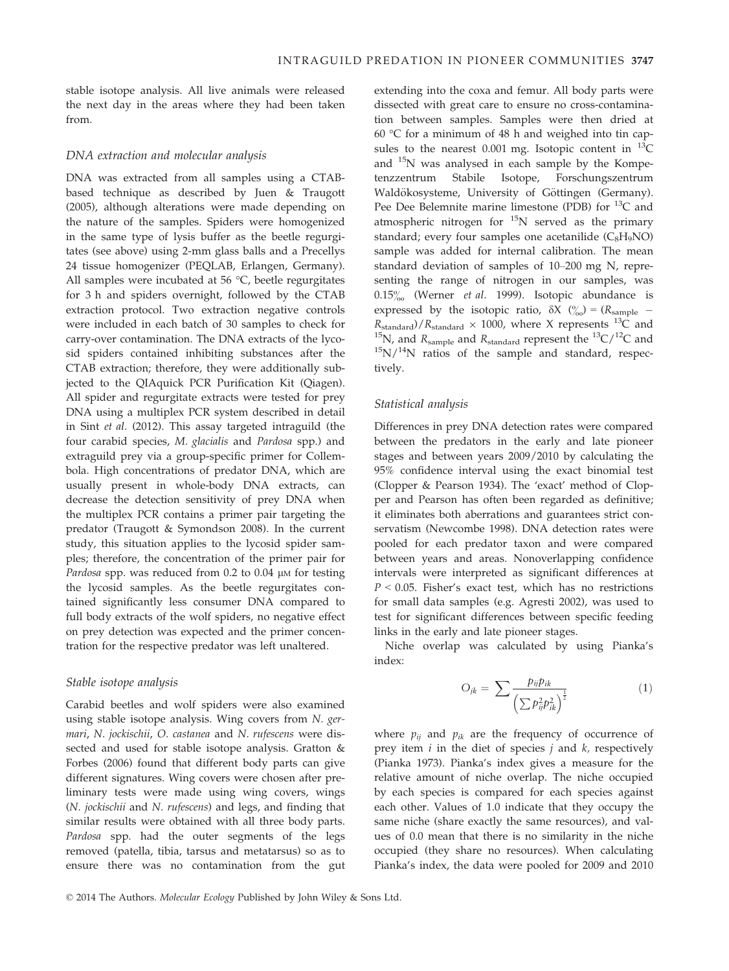stable isotope analysis. All live animals were released the next day in the areas where they had been taken from.

#### DNA extraction and molecular analysis

DNA was extracted from all samples using a CTABbased technique as described by Juen & Traugott (2005), although alterations were made depending on the nature of the samples. Spiders were homogenized in the same type of lysis buffer as the beetle regurgitates (see above) using 2-mm glass balls and a Precellys 24 tissue homogenizer (PEQLAB, Erlangen, Germany). All samples were incubated at 56 °C, beetle regurgitates for 3 h and spiders overnight, followed by the CTAB extraction protocol. Two extraction negative controls were included in each batch of 30 samples to check for carry-over contamination. The DNA extracts of the lycosid spiders contained inhibiting substances after the CTAB extraction; therefore, they were additionally subjected to the QIAquick PCR Purification Kit (Qiagen). All spider and regurgitate extracts were tested for prey DNA using a multiplex PCR system described in detail in Sint et al. (2012). This assay targeted intraguild (the four carabid species, M. glacialis and Pardosa spp.) and extraguild prey via a group-specific primer for Collembola. High concentrations of predator DNA, which are usually present in whole-body DNA extracts, can decrease the detection sensitivity of prey DNA when the multiplex PCR contains a primer pair targeting the predator (Traugott & Symondson 2008). In the current study, this situation applies to the lycosid spider samples; therefore, the concentration of the primer pair for Pardosa spp. was reduced from  $0.2$  to  $0.04$   $\mu$ M for testing the lycosid samples. As the beetle regurgitates contained significantly less consumer DNA compared to full body extracts of the wolf spiders, no negative effect on prey detection was expected and the primer concentration for the respective predator was left unaltered.

### Stable isotope analysis

Carabid beetles and wolf spiders were also examined using stable isotope analysis. Wing covers from N. germari, N. jockischii, O. castanea and N. rufescens were dissected and used for stable isotope analysis. Gratton & Forbes (2006) found that different body parts can give different signatures. Wing covers were chosen after preliminary tests were made using wing covers, wings (N. jockischii and N. rufescens) and legs, and finding that similar results were obtained with all three body parts. Pardosa spp. had the outer segments of the legs removed (patella, tibia, tarsus and metatarsus) so as to ensure there was no contamination from the gut extending into the coxa and femur. All body parts were dissected with great care to ensure no cross-contamination between samples. Samples were then dried at 60 °C for a minimum of 48 h and weighed into tin capsules to the nearest 0.001 mg. Isotopic content in  $^{13}$ C and 15N was analysed in each sample by the Kompetenzzentrum Stabile Isotope, Forschungszentrum Waldökosysteme, University of Göttingen (Germany). Pee Dee Belemnite marine limestone (PDB) for  $^{13}C$  and atmospheric nitrogen for  $15N$  served as the primary standard; every four samples one acetanilide  $(C_8H_9NO)$ sample was added for internal calibration. The mean standard deviation of samples of 10–200 mg N, representing the range of nitrogen in our samples, was  $0.15\%$  (Werner *et al.* 1999). Isotopic abundance is expressed by the isotopic ratio,  $\delta X$  ( $\%$ ) = ( $R_{\text{sample}}$  –  $R_{\text{standard}}$ )/ $R_{\text{standard}} \times 1000$ , where X represents <sup>13</sup>C and <sup>15</sup>N, and R<sub>sample</sub> and R<sub>standard</sub> represent the <sup>13</sup>C/<sup>12</sup>C and <sup>15</sup>N/<sup>14</sup>N ratios of the sample and standard, respectively.

#### Statistical analysis

Differences in prey DNA detection rates were compared between the predators in the early and late pioneer stages and between years 2009/2010 by calculating the 95% confidence interval using the exact binomial test (Clopper & Pearson 1934). The 'exact' method of Clopper and Pearson has often been regarded as definitive; it eliminates both aberrations and guarantees strict conservatism (Newcombe 1998). DNA detection rates were pooled for each predator taxon and were compared between years and areas. Nonoverlapping confidence intervals were interpreted as significant differences at  $P < 0.05$ . Fisher's exact test, which has no restrictions for small data samples (e.g. Agresti 2002), was used to test for significant differences between specific feeding links in the early and late pioneer stages.

Niche overlap was calculated by using Pianka's index:

$$
O_{jk} = \sum \frac{p_{ij}p_{ik}}{\left(\sum p_{ij}^2 p_{ik}^2\right)^{\frac{1}{2}}}
$$
 (1)

where  $p_{ii}$  and  $p_{ik}$  are the frequency of occurrence of prey item  $i$  in the diet of species  $j$  and  $k$ , respectively (Pianka 1973). Pianka's index gives a measure for the relative amount of niche overlap. The niche occupied by each species is compared for each species against each other. Values of 1.0 indicate that they occupy the same niche (share exactly the same resources), and values of 0.0 mean that there is no similarity in the niche occupied (they share no resources). When calculating Pianka's index, the data were pooled for 2009 and 2010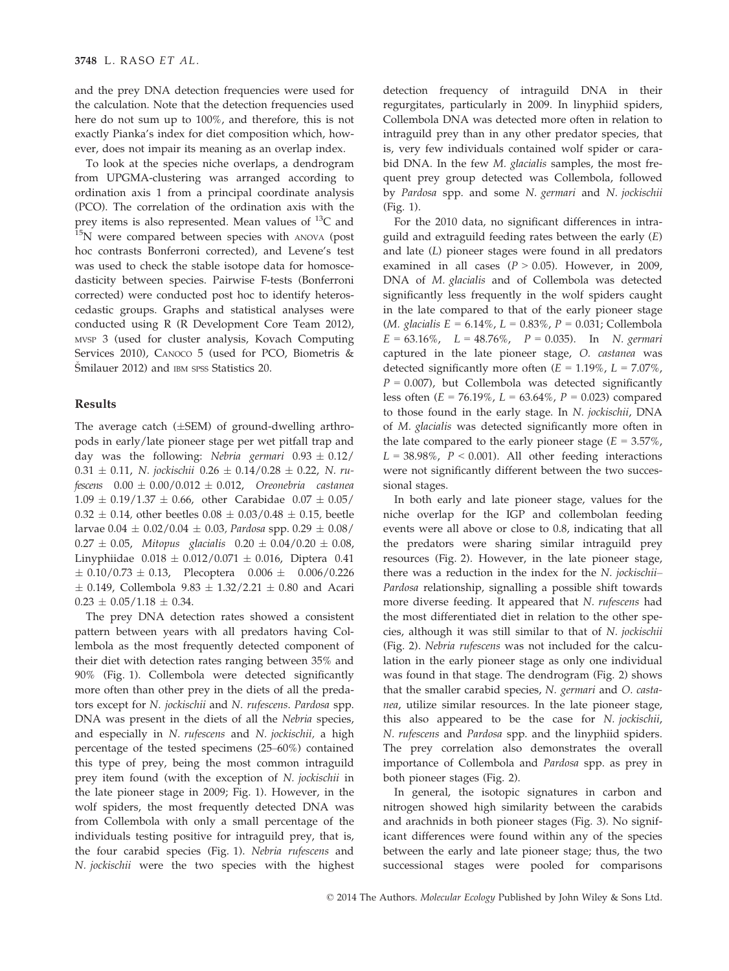and the prey DNA detection frequencies were used for the calculation. Note that the detection frequencies used here do not sum up to 100%, and therefore, this is not exactly Pianka's index for diet composition which, however, does not impair its meaning as an overlap index.

To look at the species niche overlaps, a dendrogram from UPGMA-clustering was arranged according to ordination axis 1 from a principal coordinate analysis (PCO). The correlation of the ordination axis with the prey items is also represented. Mean values of  $^{13}C$  and <sup>15</sup>N were compared between species with ANOVA (post hoc contrasts Bonferroni corrected), and Levene's test was used to check the stable isotope data for homoscedasticity between species. Pairwise F-tests (Bonferroni corrected) were conducted post hoc to identify heteroscedastic groups. Graphs and statistical analyses were conducted using R (R Development Core Team 2012), MVSP 3 (used for cluster analysis, Kovach Computing Services 2010), CANOCO 5 (used for PCO, Biometris & Smilauer 2012) and IBM SPSS Statistics 20.

## Results

The average catch  $(\pm$ SEM) of ground-dwelling arthropods in early/late pioneer stage per wet pitfall trap and day was the following: Nebria germari  $0.93 \pm 0.12$ /  $0.31 \pm 0.11$ , N. jockischii  $0.26 \pm 0.14/0.28 \pm 0.22$ , N. rufescens  $0.00 \pm 0.00/0.012 \pm 0.012$ , Oreonebria castanea  $1.09 \pm 0.19/1.37 \pm 0.66$ , other Carabidae  $0.07 \pm 0.05/$  $0.32 \pm 0.14$ , other beetles  $0.08 \pm 0.03/0.48 \pm 0.15$ , beetle larvae  $0.04 \pm 0.02/0.04 \pm 0.03$ , Pardosa spp.  $0.29 \pm 0.08/$  $0.27 \pm 0.05$ , Mitopus glacialis  $0.20 \pm 0.04/0.20 \pm 0.08$ , Linyphiidae  $0.018 \pm 0.012/0.071 \pm 0.016$ , Diptera 0.41  $\pm$  0.10/0.73  $\pm$  0.13, Plecoptera 0.006  $\pm$  0.006/0.226  $\pm$  0.149, Collembola 9.83  $\pm$  1.32/2.21  $\pm$  0.80 and Acari  $0.23 \pm 0.05/1.18 \pm 0.34.$ 

The prey DNA detection rates showed a consistent pattern between years with all predators having Collembola as the most frequently detected component of their diet with detection rates ranging between 35% and 90% (Fig. 1). Collembola were detected significantly more often than other prey in the diets of all the predators except for N. jockischii and N. rufescens. Pardosa spp. DNA was present in the diets of all the Nebria species, and especially in N. rufescens and N. jockischii, a high percentage of the tested specimens (25–60%) contained this type of prey, being the most common intraguild prey item found (with the exception of N. jockischii in the late pioneer stage in 2009; Fig. 1). However, in the wolf spiders, the most frequently detected DNA was from Collembola with only a small percentage of the individuals testing positive for intraguild prey, that is, the four carabid species (Fig. 1). Nebria rufescens and N. jockischii were the two species with the highest

detection frequency of intraguild DNA in their regurgitates, particularly in 2009. In linyphiid spiders, Collembola DNA was detected more often in relation to intraguild prey than in any other predator species, that is, very few individuals contained wolf spider or carabid DNA. In the few M. glacialis samples, the most frequent prey group detected was Collembola, followed by Pardosa spp. and some N. germari and N. jockischii (Fig. 1).

For the 2010 data, no significant differences in intraguild and extraguild feeding rates between the early (E) and late (L) pioneer stages were found in all predators examined in all cases ( $P > 0.05$ ). However, in 2009, DNA of M. glacialis and of Collembola was detected significantly less frequently in the wolf spiders caught in the late compared to that of the early pioneer stage (*M. glacialis*  $E = 6.14\%$ ,  $L = 0.83\%$ ,  $P = 0.031$ ; Collembola  $E = 63.16\%, L = 48.76\%, P = 0.035$ . In N. germari captured in the late pioneer stage, O. castanea was detected significantly more often  $(E = 1.19\% , L = 7.07\%$ ,  $P = 0.007$ ), but Collembola was detected significantly less often ( $E = 76.19\%$ ,  $L = 63.64\%$ ,  $P = 0.023$ ) compared to those found in the early stage. In N. jockischii, DNA of M. glacialis was detected significantly more often in the late compared to the early pioneer stage ( $E = 3.57\%$ ,  $L = 38.98\%$ ,  $P < 0.001$ ). All other feeding interactions were not significantly different between the two successional stages.

In both early and late pioneer stage, values for the niche overlap for the IGP and collembolan feeding events were all above or close to 0.8, indicating that all the predators were sharing similar intraguild prey resources (Fig. 2). However, in the late pioneer stage, there was a reduction in the index for the N. jockischii-Pardosa relationship, signalling a possible shift towards more diverse feeding. It appeared that N. rufescens had the most differentiated diet in relation to the other species, although it was still similar to that of N. jockischii (Fig. 2). Nebria rufescens was not included for the calculation in the early pioneer stage as only one individual was found in that stage. The dendrogram (Fig. 2) shows that the smaller carabid species, N. germari and O. castanea, utilize similar resources. In the late pioneer stage, this also appeared to be the case for N. jockischii, N. rufescens and Pardosa spp. and the linyphiid spiders. The prey correlation also demonstrates the overall importance of Collembola and Pardosa spp. as prey in both pioneer stages (Fig. 2).

In general, the isotopic signatures in carbon and nitrogen showed high similarity between the carabids and arachnids in both pioneer stages (Fig. 3). No significant differences were found within any of the species between the early and late pioneer stage; thus, the two successional stages were pooled for comparisons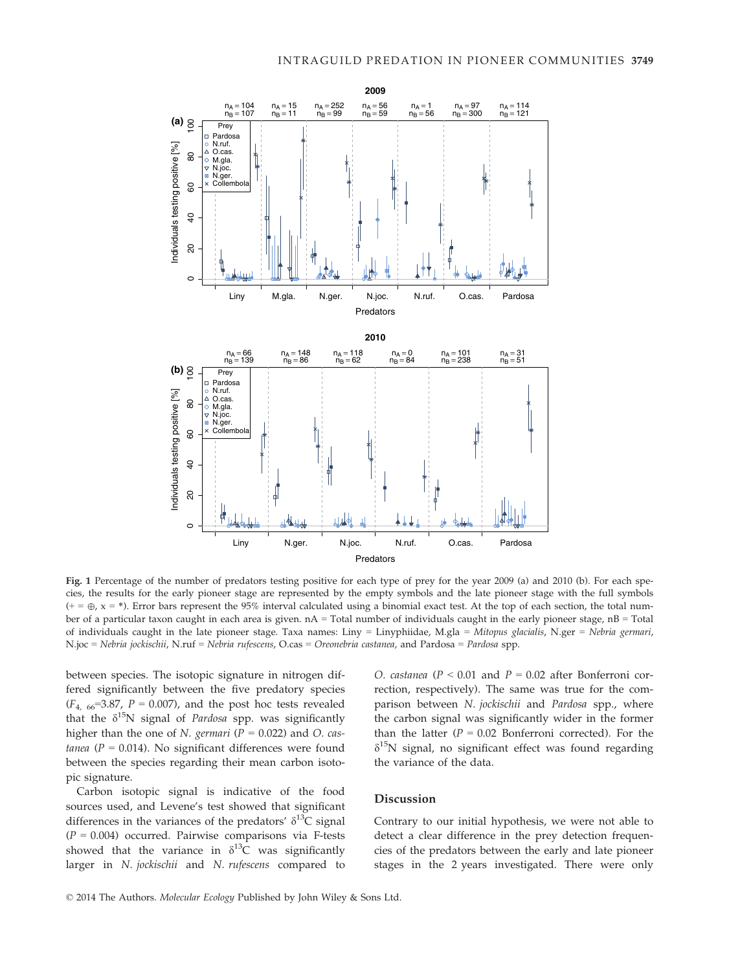

Fig. 1 Percentage of the number of predators testing positive for each type of prey for the year 2009 (a) and 2010 (b). For each species, the results for the early pioneer stage are represented by the empty symbols and the late pioneer stage with the full symbols  $(+)$  =  $\oplus$ , x = \*). Error bars represent the 95% interval calculated using a binomial exact test. At the top of each section, the total number of a particular taxon caught in each area is given. nA = Total number of individuals caught in the early pioneer stage, nB = Total of individuals caught in the late pioneer stage. Taxa names: Liny = Linyphiidae, M.gla = Mitopus glacialis, N.ger = Nebria germari, N.joc = Nebria jockischii, N.ruf = Nebria rufescens, O.cas = Oreonebria castanea, and Pardosa = Pardosa spp.

between species. The isotopic signature in nitrogen differed significantly between the five predatory species  $(F_{4, 66}=3.87, P=0.007)$ , and the post hoc tests revealed that the  $\delta^{15}N$  signal of *Pardosa* spp. was significantly higher than the one of *N. germari* ( $P = 0.022$ ) and *O. cas*tanea ( $P = 0.014$ ). No significant differences were found between the species regarding their mean carbon isotopic signature.

Carbon isotopic signal is indicative of the food sources used, and Levene's test showed that significant differences in the variances of the predators'  $\delta^{13}C$  signal  $(P = 0.004)$  occurred. Pairwise comparisons via F-tests showed that the variance in  $\delta^{13}$ C was significantly larger in N. jockischii and N. rufescens compared to O. castanea ( $P < 0.01$  and  $P = 0.02$  after Bonferroni correction, respectively). The same was true for the comparison between N. jockischii and Pardosa spp., where the carbon signal was significantly wider in the former than the latter ( $P = 0.02$  Bonferroni corrected). For the  $\delta^{15}$ N signal, no significant effect was found regarding the variance of the data.

#### Discussion

Contrary to our initial hypothesis, we were not able to detect a clear difference in the prey detection frequencies of the predators between the early and late pioneer stages in the 2 years investigated. There were only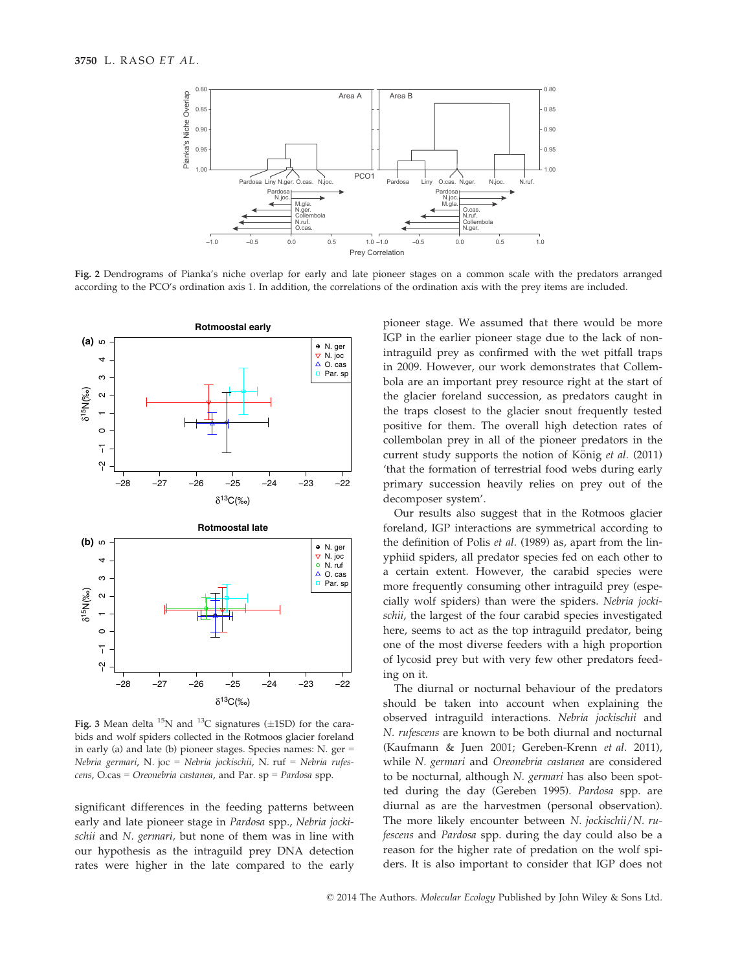

Fig. 2 Dendrograms of Pianka's niche overlap for early and late pioneer stages on a common scale with the predators arranged according to the PCO's ordination axis 1. In addition, the correlations of the ordination axis with the prey items are included.



Fig. 3 Mean delta  $^{15}N$  and  $^{13}C$  signatures ( $\pm$ 1SD) for the carabids and wolf spiders collected in the Rotmoos glacier foreland in early (a) and late (b) pioneer stages. Species names: N. ger = Nebria germari, N. joc = Nebria jockischii, N. ruf = Nebria rufescens, O.cas = Oreonebria castanea, and Par. sp = Pardosa spp.

significant differences in the feeding patterns between early and late pioneer stage in Pardosa spp., Nebria jockischii and N. germari, but none of them was in line with our hypothesis as the intraguild prey DNA detection rates were higher in the late compared to the early pioneer stage. We assumed that there would be more IGP in the earlier pioneer stage due to the lack of nonintraguild prey as confirmed with the wet pitfall traps in 2009. However, our work demonstrates that Collembola are an important prey resource right at the start of the glacier foreland succession, as predators caught in the traps closest to the glacier snout frequently tested positive for them. The overall high detection rates of collembolan prey in all of the pioneer predators in the current study supports the notion of König et al. (2011) 'that the formation of terrestrial food webs during early primary succession heavily relies on prey out of the decomposer system'.

Our results also suggest that in the Rotmoos glacier foreland, IGP interactions are symmetrical according to the definition of Polis et al. (1989) as, apart from the linyphiid spiders, all predator species fed on each other to a certain extent. However, the carabid species were more frequently consuming other intraguild prey (especially wolf spiders) than were the spiders. Nebria jockischii, the largest of the four carabid species investigated here, seems to act as the top intraguild predator, being one of the most diverse feeders with a high proportion of lycosid prey but with very few other predators feeding on it.

The diurnal or nocturnal behaviour of the predators should be taken into account when explaining the observed intraguild interactions. Nebria jockischii and N. rufescens are known to be both diurnal and nocturnal (Kaufmann & Juen 2001; Gereben-Krenn et al. 2011), while N. germari and Oreonebria castanea are considered to be nocturnal, although N. germari has also been spotted during the day (Gereben 1995). Pardosa spp. are diurnal as are the harvestmen (personal observation). The more likely encounter between N. jockischii/N. rufescens and Pardosa spp. during the day could also be a reason for the higher rate of predation on the wolf spiders. It is also important to consider that IGP does not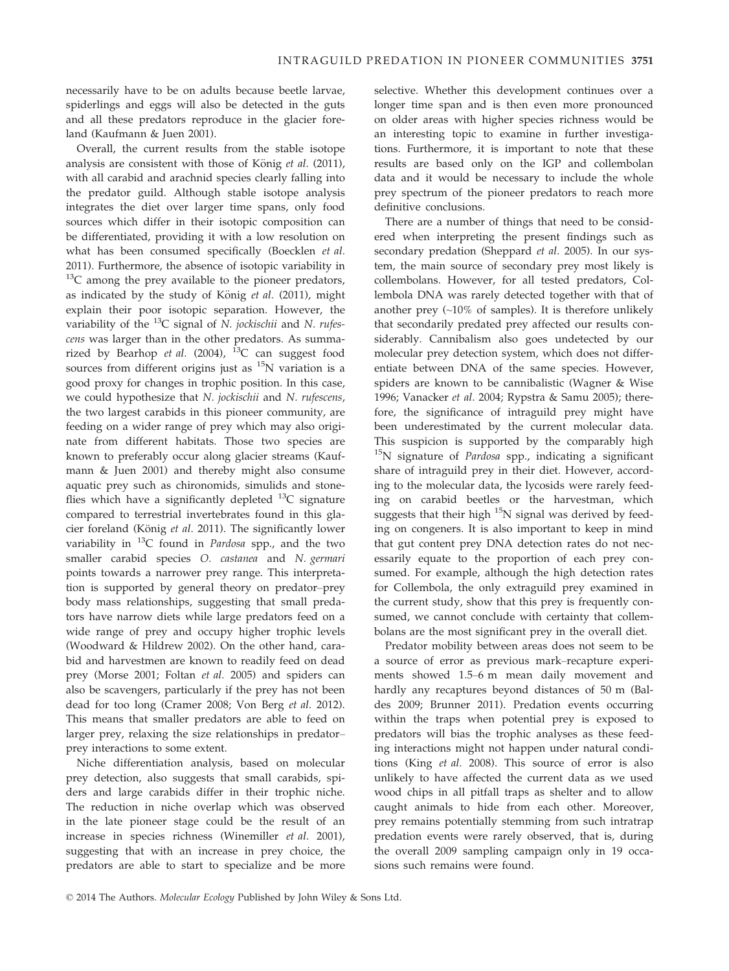necessarily have to be on adults because beetle larvae, spiderlings and eggs will also be detected in the guts and all these predators reproduce in the glacier foreland (Kaufmann & Juen 2001).

Overall, the current results from the stable isotope analysis are consistent with those of König  $et$   $al.$  (2011), with all carabid and arachnid species clearly falling into the predator guild. Although stable isotope analysis integrates the diet over larger time spans, only food sources which differ in their isotopic composition can be differentiated, providing it with a low resolution on what has been consumed specifically (Boecklen et al. 2011). Furthermore, the absence of isotopic variability in  $13C$  among the prey available to the pioneer predators, as indicated by the study of König et al. (2011), might explain their poor isotopic separation. However, the variability of the  $^{13}C$  signal of N. jockischii and N. rufescens was larger than in the other predators. As summarized by Bearhop et al. (2004),  $^{13}$ C can suggest food sources from different origins just as  $15N$  variation is a good proxy for changes in trophic position. In this case, we could hypothesize that N. jockischii and N. rufescens, the two largest carabids in this pioneer community, are feeding on a wider range of prey which may also originate from different habitats. Those two species are known to preferably occur along glacier streams (Kaufmann & Juen 2001) and thereby might also consume aquatic prey such as chironomids, simulids and stoneflies which have a significantly depleted  $^{13}$ C signature compared to terrestrial invertebrates found in this glacier foreland (König et al. 2011). The significantly lower variability in  $^{13}C$  found in *Pardosa* spp., and the two smaller carabid species O. castanea and N. germari points towards a narrower prey range. This interpretation is supported by general theory on predator–prey body mass relationships, suggesting that small predators have narrow diets while large predators feed on a wide range of prey and occupy higher trophic levels (Woodward & Hildrew 2002). On the other hand, carabid and harvestmen are known to readily feed on dead prey (Morse 2001; Foltan et al. 2005) and spiders can also be scavengers, particularly if the prey has not been dead for too long (Cramer 2008; Von Berg et al. 2012). This means that smaller predators are able to feed on larger prey, relaxing the size relationships in predator– prey interactions to some extent.

Niche differentiation analysis, based on molecular prey detection, also suggests that small carabids, spiders and large carabids differ in their trophic niche. The reduction in niche overlap which was observed in the late pioneer stage could be the result of an increase in species richness (Winemiller et al. 2001), suggesting that with an increase in prey choice, the predators are able to start to specialize and be more selective. Whether this development continues over a longer time span and is then even more pronounced on older areas with higher species richness would be an interesting topic to examine in further investigations. Furthermore, it is important to note that these results are based only on the IGP and collembolan data and it would be necessary to include the whole prey spectrum of the pioneer predators to reach more definitive conclusions.

There are a number of things that need to be considered when interpreting the present findings such as secondary predation (Sheppard et al. 2005). In our system, the main source of secondary prey most likely is collembolans. However, for all tested predators, Collembola DNA was rarely detected together with that of another prey (~10% of samples). It is therefore unlikely that secondarily predated prey affected our results considerably. Cannibalism also goes undetected by our molecular prey detection system, which does not differentiate between DNA of the same species. However, spiders are known to be cannibalistic (Wagner & Wise 1996; Vanacker et al. 2004; Rypstra & Samu 2005); therefore, the significance of intraguild prey might have been underestimated by the current molecular data. This suspicion is supported by the comparably high  $15N$  signature of *Pardosa* spp., indicating a significant share of intraguild prey in their diet. However, according to the molecular data, the lycosids were rarely feeding on carabid beetles or the harvestman, which suggests that their high  $15N$  signal was derived by feeding on congeners. It is also important to keep in mind that gut content prey DNA detection rates do not necessarily equate to the proportion of each prey consumed. For example, although the high detection rates for Collembola, the only extraguild prey examined in the current study, show that this prey is frequently consumed, we cannot conclude with certainty that collembolans are the most significant prey in the overall diet.

Predator mobility between areas does not seem to be a source of error as previous mark–recapture experiments showed 1.5–6 m mean daily movement and hardly any recaptures beyond distances of 50 m (Baldes 2009; Brunner 2011). Predation events occurring within the traps when potential prey is exposed to predators will bias the trophic analyses as these feeding interactions might not happen under natural conditions (King et al. 2008). This source of error is also unlikely to have affected the current data as we used wood chips in all pitfall traps as shelter and to allow caught animals to hide from each other. Moreover, prey remains potentially stemming from such intratrap predation events were rarely observed, that is, during the overall 2009 sampling campaign only in 19 occasions such remains were found.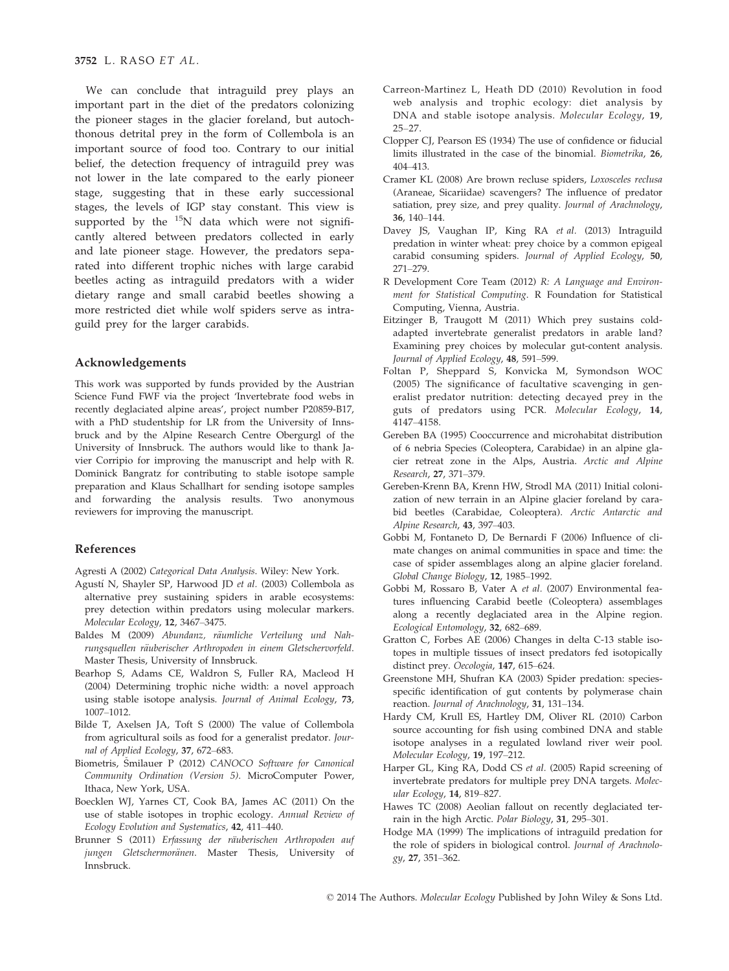We can conclude that intraguild prey plays an important part in the diet of the predators colonizing the pioneer stages in the glacier foreland, but autochthonous detrital prey in the form of Collembola is an important source of food too. Contrary to our initial belief, the detection frequency of intraguild prey was not lower in the late compared to the early pioneer stage, suggesting that in these early successional stages, the levels of IGP stay constant. This view is supported by the  $^{15}N$  data which were not significantly altered between predators collected in early and late pioneer stage. However, the predators separated into different trophic niches with large carabid beetles acting as intraguild predators with a wider dietary range and small carabid beetles showing a more restricted diet while wolf spiders serve as intraguild prey for the larger carabids.

#### Acknowledgements

This work was supported by funds provided by the Austrian Science Fund FWF via the project 'Invertebrate food webs in recently deglaciated alpine areas', project number P20859-B17, with a PhD studentship for LR from the University of Innsbruck and by the Alpine Research Centre Obergurgl of the University of Innsbruck. The authors would like to thank Javier Corripio for improving the manuscript and help with R. Dominick Bangratz for contributing to stable isotope sample preparation and Klaus Schallhart for sending isotope samples and forwarding the analysis results. Two anonymous reviewers for improving the manuscript.

#### References

Agresti A (2002) Categorical Data Analysis. Wiley: New York.

- Agustí N, Shayler SP, Harwood JD et al. (2003) Collembola as alternative prey sustaining spiders in arable ecosystems: prey detection within predators using molecular markers. Molecular Ecology, 12, 3467–3475.
- Baldes M (2009) Abundanz, räumliche Verteilung und Nahrungsquellen räuberischer Arthropoden in einem Gletschervorfeld. Master Thesis, University of Innsbruck.
- Bearhop S, Adams CE, Waldron S, Fuller RA, Macleod H (2004) Determining trophic niche width: a novel approach using stable isotope analysis. Journal of Animal Ecology, 73, 1007–1012.
- Bilde T, Axelsen JA, Toft S (2000) The value of Collembola from agricultural soils as food for a generalist predator. Journal of Applied Ecology, 37, 672–683.
- Biometris, Smilauer P (2012) CANOCO Software for Canonical Community Ordination (Version 5). MicroComputer Power, Ithaca, New York, USA.
- Boecklen WJ, Yarnes CT, Cook BA, James AC (2011) On the use of stable isotopes in trophic ecology. Annual Review of Ecology Evolution and Systematics, 42, 411–440.
- Brunner S (2011) Erfassung der räuberischen Arthropoden auf jungen Gletschermoränen. Master Thesis, University of Innsbruck.
- Carreon-Martinez L, Heath DD (2010) Revolution in food web analysis and trophic ecology: diet analysis by DNA and stable isotope analysis. Molecular Ecology, 19, 25–27.
- Clopper CJ, Pearson ES (1934) The use of confidence or fiducial limits illustrated in the case of the binomial. Biometrika, 26, 404–413.
- Cramer KL (2008) Are brown recluse spiders, Loxosceles reclusa (Araneae, Sicariidae) scavengers? The influence of predator satiation, prey size, and prey quality. Journal of Arachnology, 36, 140–144.
- Davey JS, Vaughan IP, King RA et al. (2013) Intraguild predation in winter wheat: prey choice by a common epigeal carabid consuming spiders. Journal of Applied Ecology, 50, 271–279.
- R Development Core Team (2012) R: A Language and Environment for Statistical Computing. R Foundation for Statistical Computing, Vienna, Austria.
- Eitzinger B, Traugott M (2011) Which prey sustains coldadapted invertebrate generalist predators in arable land? Examining prey choices by molecular gut-content analysis. Journal of Applied Ecology, 48, 591–599.
- Foltan P, Sheppard S, Konvicka M, Symondson WOC (2005) The significance of facultative scavenging in generalist predator nutrition: detecting decayed prey in the guts of predators using PCR. Molecular Ecology, 14, 4147–4158.
- Gereben BA (1995) Cooccurrence and microhabitat distribution of 6 nebria Species (Coleoptera, Carabidae) in an alpine glacier retreat zone in the Alps, Austria. Arctic and Alpine Research, 27, 371–379.
- Gereben-Krenn BA, Krenn HW, Strodl MA (2011) Initial colonization of new terrain in an Alpine glacier foreland by carabid beetles (Carabidae, Coleoptera). Arctic Antarctic and Alpine Research, 43, 397–403.
- Gobbi M, Fontaneto D, De Bernardi F (2006) Influence of climate changes on animal communities in space and time: the case of spider assemblages along an alpine glacier foreland. Global Change Biology, 12, 1985–1992.
- Gobbi M, Rossaro B, Vater A et al. (2007) Environmental features influencing Carabid beetle (Coleoptera) assemblages along a recently deglaciated area in the Alpine region. Ecological Entomology, 32, 682–689.
- Gratton C, Forbes AE (2006) Changes in delta C-13 stable isotopes in multiple tissues of insect predators fed isotopically distinct prey. Oecologia, 147, 615–624.
- Greenstone MH, Shufran KA (2003) Spider predation: speciesspecific identification of gut contents by polymerase chain reaction. Journal of Arachnology, 31, 131–134.
- Hardy CM, Krull ES, Hartley DM, Oliver RL (2010) Carbon source accounting for fish using combined DNA and stable isotope analyses in a regulated lowland river weir pool. Molecular Ecology, 19, 197–212.
- Harper GL, King RA, Dodd CS et al. (2005) Rapid screening of invertebrate predators for multiple prey DNA targets. Molecular Ecology, 14, 819–827.
- Hawes TC (2008) Aeolian fallout on recently deglaciated terrain in the high Arctic. Polar Biology, 31, 295-301.
- Hodge MA (1999) The implications of intraguild predation for the role of spiders in biological control. Journal of Arachnology, 27, 351–362.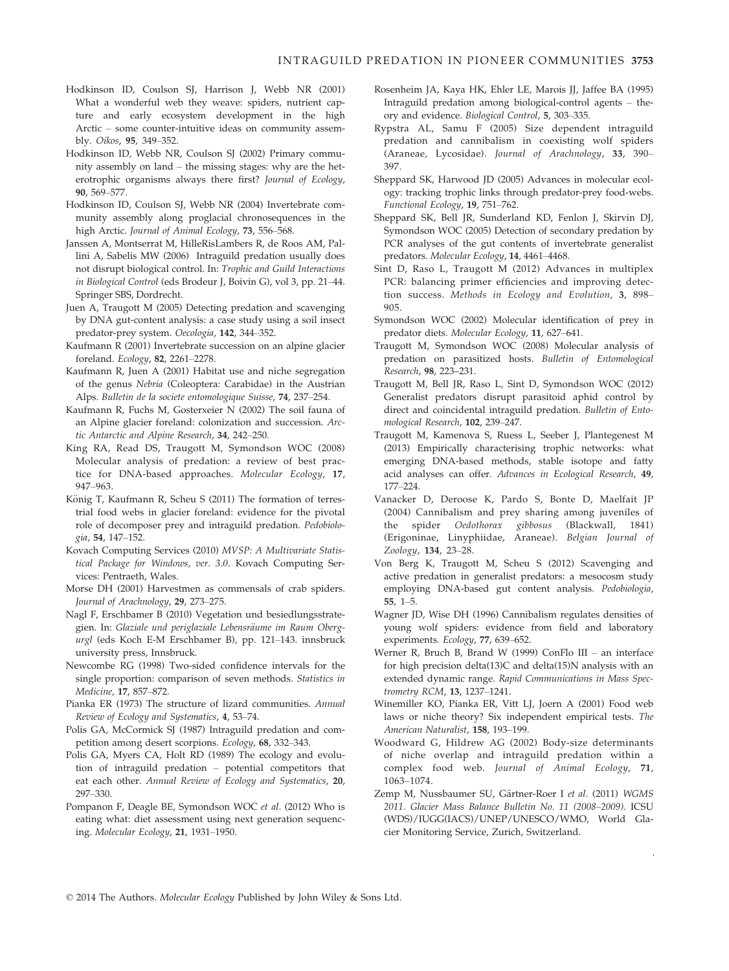- Hodkinson ID, Coulson SJ, Harrison J, Webb NR (2001) What a wonderful web they weave: spiders, nutrient capture and early ecosystem development in the high Arctic – some counter-intuitive ideas on community assembly. Oikos, 95, 349–352.
- Hodkinson ID, Webb NR, Coulson SJ (2002) Primary community assembly on land – the missing stages: why are the heterotrophic organisms always there first? Journal of Ecology, 90, 569–577.
- Hodkinson ID, Coulson SJ, Webb NR (2004) Invertebrate community assembly along proglacial chronosequences in the high Arctic. Journal of Animal Ecology, 73, 556–568.
- Janssen A, Montserrat M, HilleRisLambers R, de Roos AM, Pallini A, Sabelis MW (2006) Intraguild predation usually does not disrupt biological control. In: Trophic and Guild Interactions in Biological Control (eds Brodeur J, Boivin G), vol 3, pp. 21–44. Springer SBS, Dordrecht.
- Juen A, Traugott M (2005) Detecting predation and scavenging by DNA gut-content analysis: a case study using a soil insect predator-prey system. Oecologia, 142, 344–352.
- Kaufmann R (2001) Invertebrate succession on an alpine glacier foreland. Ecology, 82, 2261–2278.
- Kaufmann R, Juen A (2001) Habitat use and niche segregation of the genus Nebria (Coleoptera: Carabidae) in the Austrian Alps. Bulletin de la societe entomologique Suisse, 74, 237–254.
- Kaufmann R, Fuchs M, Gosterxeier N (2002) The soil fauna of an Alpine glacier foreland: colonization and succession. Arctic Antarctic and Alpine Research, 34, 242–250.
- King RA, Read DS, Traugott M, Symondson WOC (2008) Molecular analysis of predation: a review of best practice for DNA-based approaches. Molecular Ecology, 17, 947–963.
- König T, Kaufmann R, Scheu S (2011) The formation of terrestrial food webs in glacier foreland: evidence for the pivotal role of decomposer prey and intraguild predation. Pedobiologia, 54, 147–152.
- Kovach Computing Services (2010) MVSP: A Multivariate Statistical Package for Windows, ver. 3.0. Kovach Computing Services: Pentraeth, Wales.
- Morse DH (2001) Harvestmen as commensals of crab spiders. Journal of Arachnology, 29, 273–275.
- Nagl F, Erschbamer B (2010) Vegetation und besiedlungsstrategien. In: Glaziale und periglaziale Lebensräume im Raum Obergurgl (eds Koch E-M Erschbamer B), pp. 121–143. innsbruck university press, Innsbruck.
- Newcombe RG (1998) Two-sided confidence intervals for the single proportion: comparison of seven methods. Statistics in Medicine, 17, 857–872.
- Pianka ER (1973) The structure of lizard communities. Annual Review of Ecology and Systematics, 4, 53–74.
- Polis GA, McCormick SJ (1987) Intraguild predation and competition among desert scorpions. Ecology, 68, 332–343.
- Polis GA, Myers CA, Holt RD (1989) The ecology and evolution of intraguild predation – potential competitors that eat each other. Annual Review of Ecology and Systematics, 20, 297–330.
- Pompanon F, Deagle BE, Symondson WOC et al. (2012) Who is eating what: diet assessment using next generation sequencing. Molecular Ecology, 21, 1931–1950.
- Rosenheim JA, Kaya HK, Ehler LE, Marois JJ, Jaffee BA (1995) Intraguild predation among biological-control agents – theory and evidence. Biological Control, 5, 303–335.
- Rypstra AL, Samu F (2005) Size dependent intraguild predation and cannibalism in coexisting wolf spiders (Araneae, Lycosidae). Journal of Arachnology, 33, 390– 397.
- Sheppard SK, Harwood JD (2005) Advances in molecular ecology: tracking trophic links through predator-prey food-webs. Functional Ecology, 19, 751–762.
- Sheppard SK, Bell JR, Sunderland KD, Fenlon J, Skirvin DJ, Symondson WOC (2005) Detection of secondary predation by PCR analyses of the gut contents of invertebrate generalist predators. Molecular Ecology, 14, 4461–4468.
- Sint D, Raso L, Traugott M (2012) Advances in multiplex PCR: balancing primer efficiencies and improving detection success. Methods in Ecology and Evolution, 3, 898– 905.
- Symondson WOC (2002) Molecular identification of prey in predator diets. Molecular Ecology, 11, 627–641.
- Traugott M, Symondson WOC (2008) Molecular analysis of predation on parasitized hosts. Bulletin of Entomological Research, 98, 223–231.
- Traugott M, Bell JR, Raso L, Sint D, Symondson WOC (2012) Generalist predators disrupt parasitoid aphid control by direct and coincidental intraguild predation. Bulletin of Entomological Research, 102, 239–247.
- Traugott M, Kamenova S, Ruess L, Seeber J, Plantegenest M (2013) Empirically characterising trophic networks: what emerging DNA-based methods, stable isotope and fatty acid analyses can offer. Advances in Ecological Research, 49, 177–224.
- Vanacker D, Deroose K, Pardo S, Bonte D, Maelfait JP (2004) Cannibalism and prey sharing among juveniles of the spider Oedothorax gibbosus (Blackwall, 1841) the spider Oedothorax gibbosus (Blackwall, 1841) (Erigoninae, Linyphiidae, Araneae). Belgian Journal of Zoology, 134, 23–28.
- Von Berg K, Traugott M, Scheu S (2012) Scavenging and active predation in generalist predators: a mesocosm study employing DNA-based gut content analysis. Pedobiologia, 55, 1–5.
- Wagner JD, Wise DH (1996) Cannibalism regulates densities of young wolf spiders: evidence from field and laboratory experiments. Ecology, 77, 639–652.
- Werner R, Bruch B, Brand W (1999) ConFlo III an interface for high precision delta(13)C and delta(15)N analysis with an extended dynamic range. Rapid Communications in Mass Spectrometry RCM, 13, 1237–1241.
- Winemiller KO, Pianka ER, Vitt LJ, Joern A (2001) Food web laws or niche theory? Six independent empirical tests. The American Naturalist, 158, 193–199.
- Woodward G, Hildrew AG (2002) Body-size determinants of niche overlap and intraguild predation within a complex food web. Journal of Animal Ecology, 71, 1063–1074.
- Zemp M, Nussbaumer SU, Gärtner-Roer I et al. (2011) WGMS 2011. Glacier Mass Balance Bulletin No. 11 (2008–2009). ICSU (WDS)/IUGG(IACS)/UNEP/UNESCO/WMO, World Glacier Monitoring Service, Zurich, Switzerland.